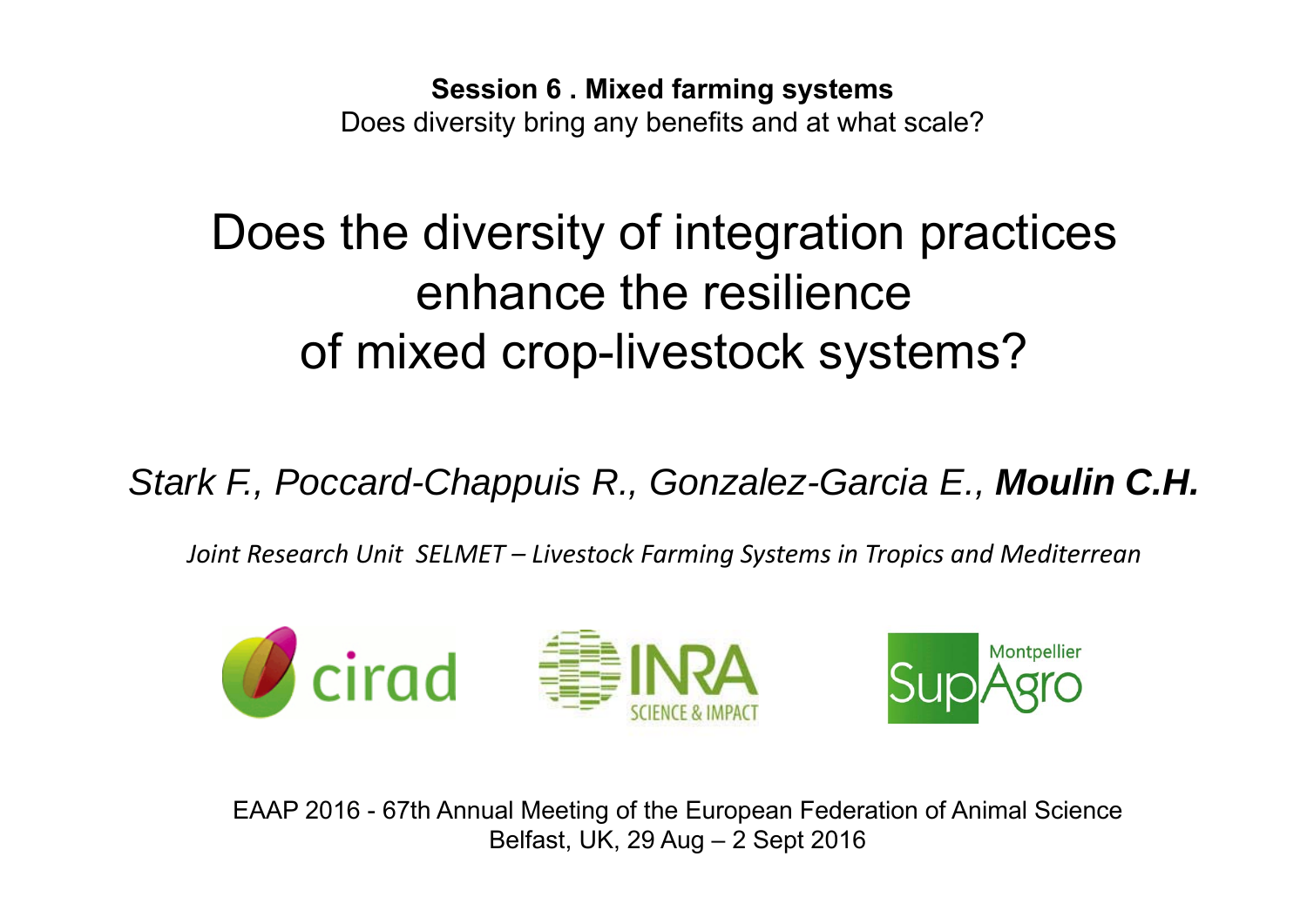**Session 6 . Mixed farming systems** Does diversity bring any benefits and at what scale?

# Does the diversity of integration practices enhance the resilience of mixed crop-livestock systems?

*Stark F., Poccard-Chappuis R., Gonzalez-Garcia E., Moulin C.H.*

*Joint Research Unit SELMET – Livestock Farming Systems in Tropics and Mediterrean*



EAAP 2016 - 67th Annual Meeting of the European Federation of Animal Science Belfast, UK, 29 Aug – 2 Sept 2016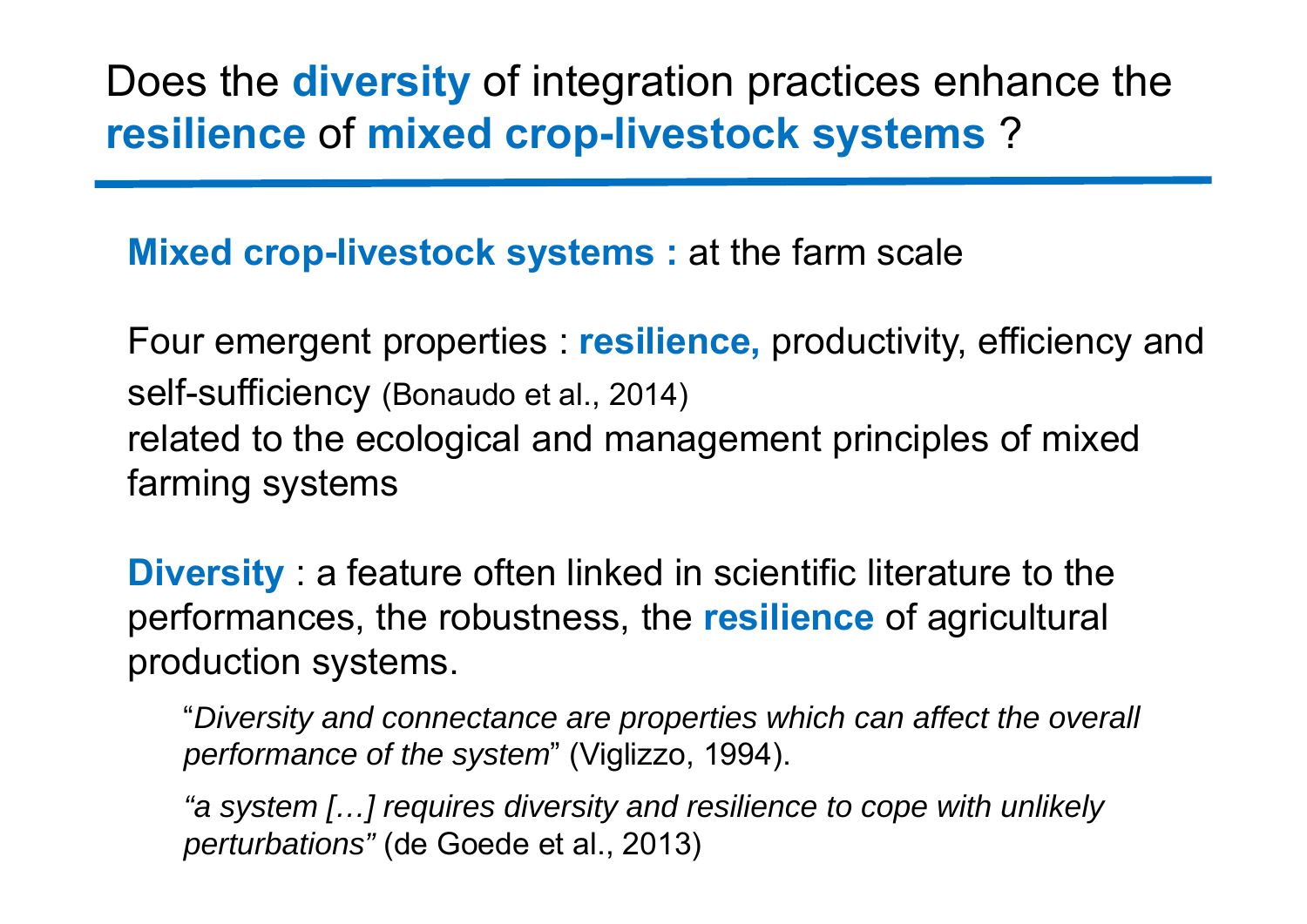#### Does the **diversity** of integration practices enhance the **resilience** of **mixed crop-livestock systems** ?

**Mixed crop-livestock systems :** at the farm scale

Four emergent properties : **resilience,** productivity, efficiency and self-sufficiency (Bonaudo et al., 2014) related to the ecological and management principles of mixed farming systems

**Diversity** : a feature often linked in scientific literature to the performances, the robustness, the **resilience** of agricultural production systems.

"*Diversity and connectance are properties which can affect the overall performance of the system*" (Viglizzo, 1994).

*"a system […] requires diversity and resilience to cope with unlikely perturbations"* (de Goede et al., 2013)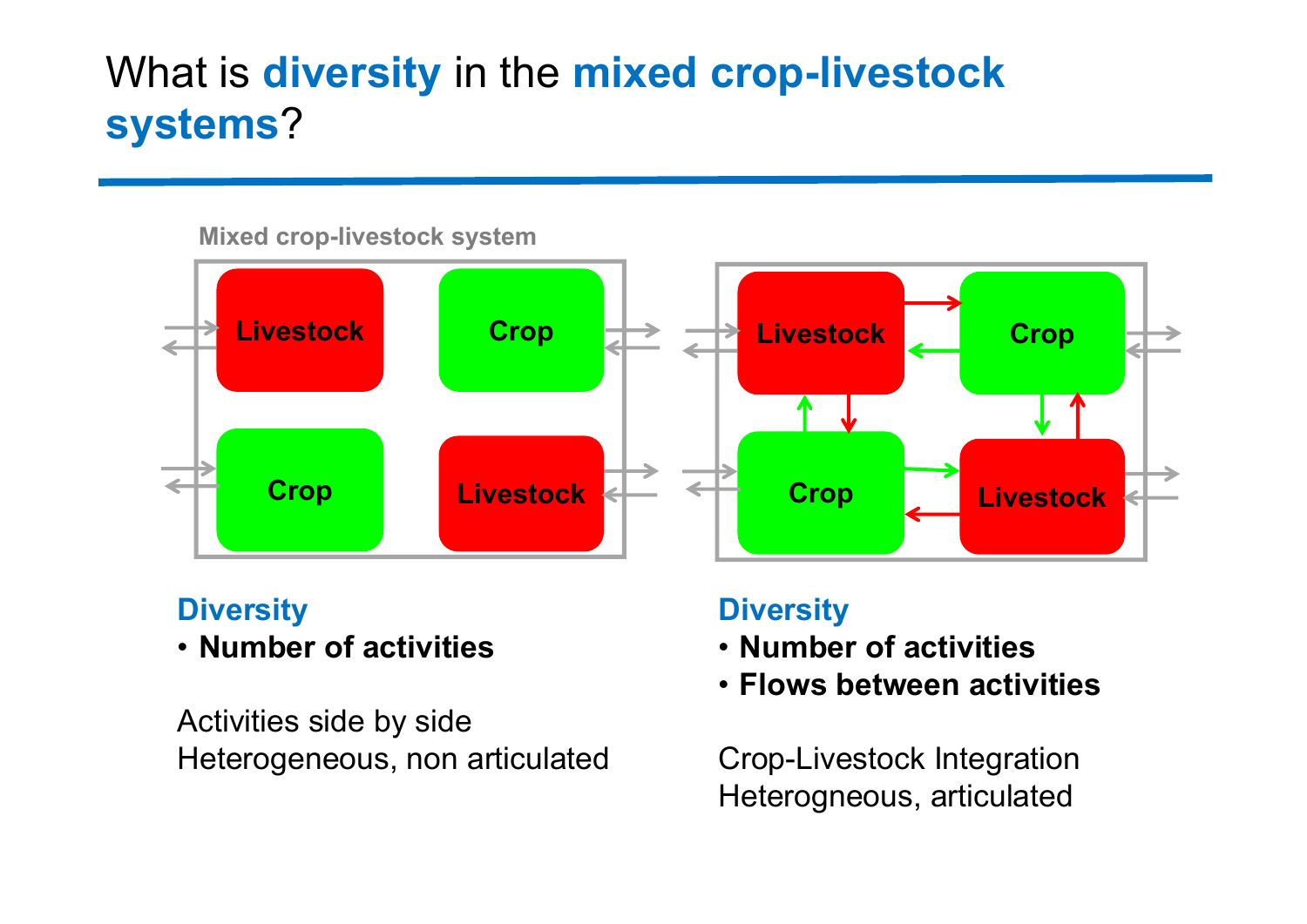## What is **diversity** in the **mixed crop-livestock systems**?

#### **Mixed crop-livestock system**



#### **Diversity**

• **Number of activities**

Activities side by side Heterogeneous, non articulated

#### **Diversity**

- **Number of activities**
- **Flows between activities**

Crop-Livestock Integration Heterogneous, articulated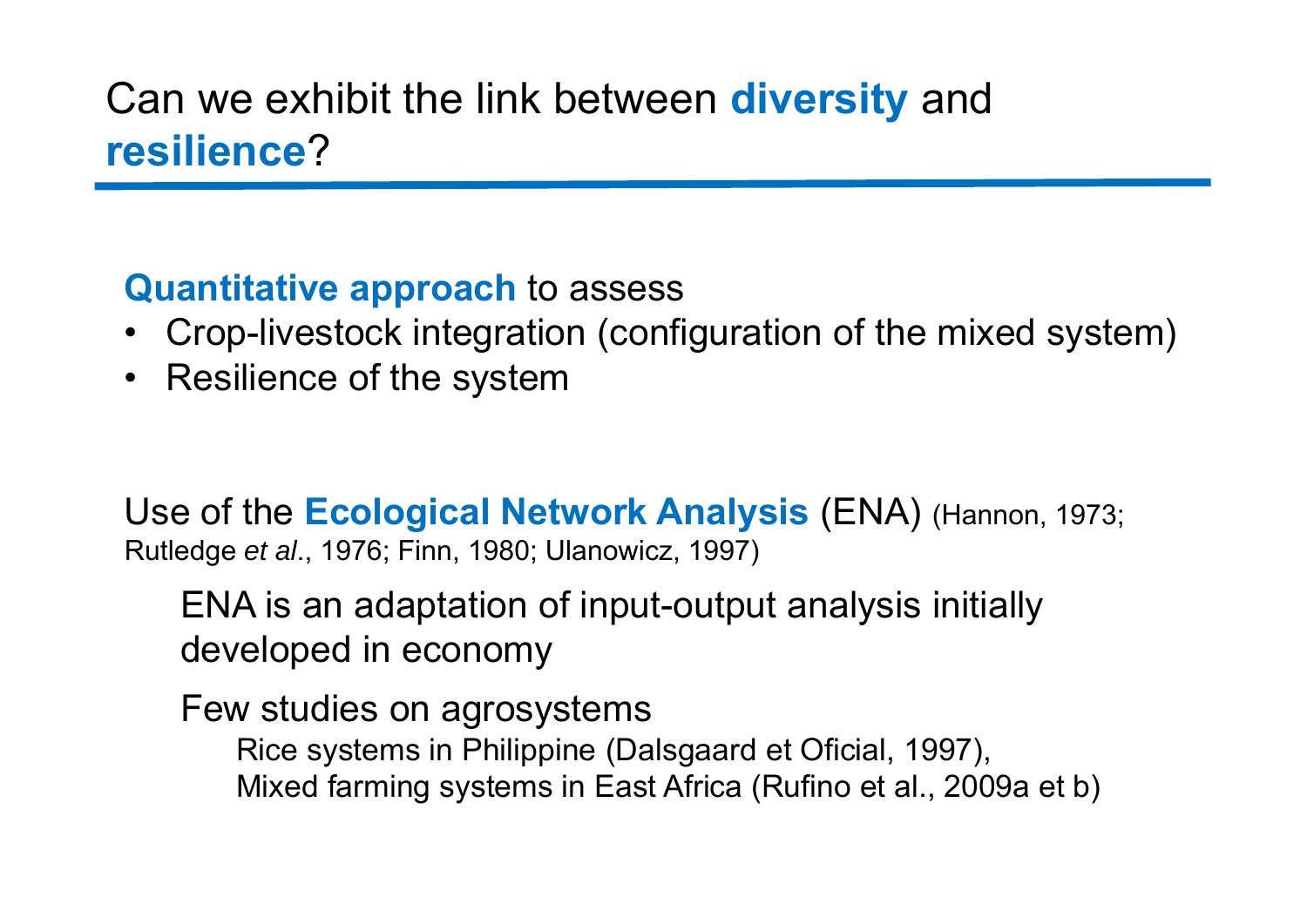#### Can we exhibit the link between **diversity** and **resilience**?

#### **Quantitative approach** to assess

- Crop-livestock integration (configuration of the mixed system)
- Resilience of the system

Use of the **Ecological Network Analysis** (ENA) (Hannon, 1973; Rutledge *et al*., 1976; Finn, 1980; Ulanowicz, 1997)

ENA is an adaptation of input-output analysis initially developed in economy

Few studies on agrosystems

Rice systems in Philippine (Dalsgaard et Oficial, 1997), Mixed farming systems in East Africa (Rufino et al., 2009a et b)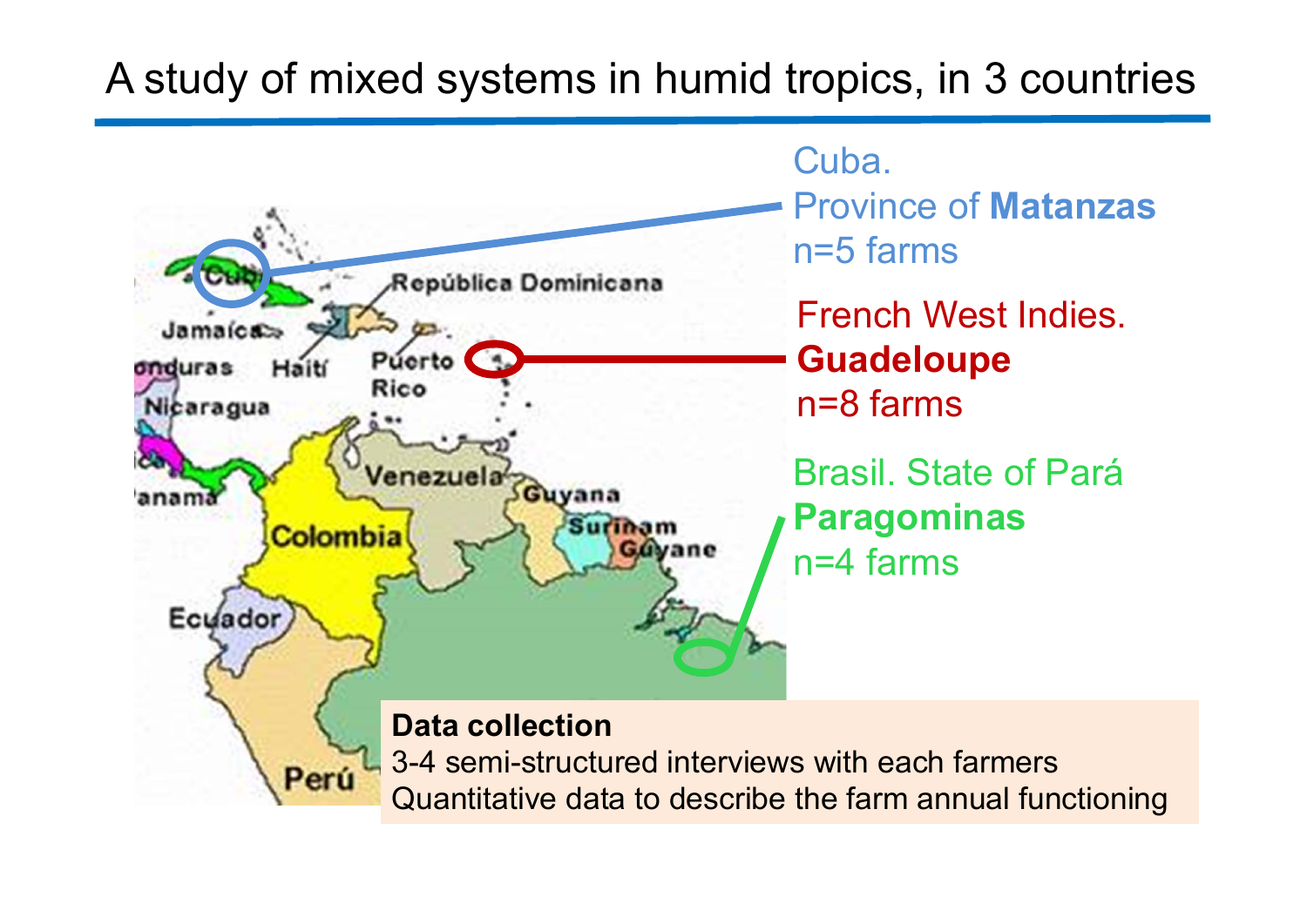#### A study of mixed systems in humid tropics, in 3 countries

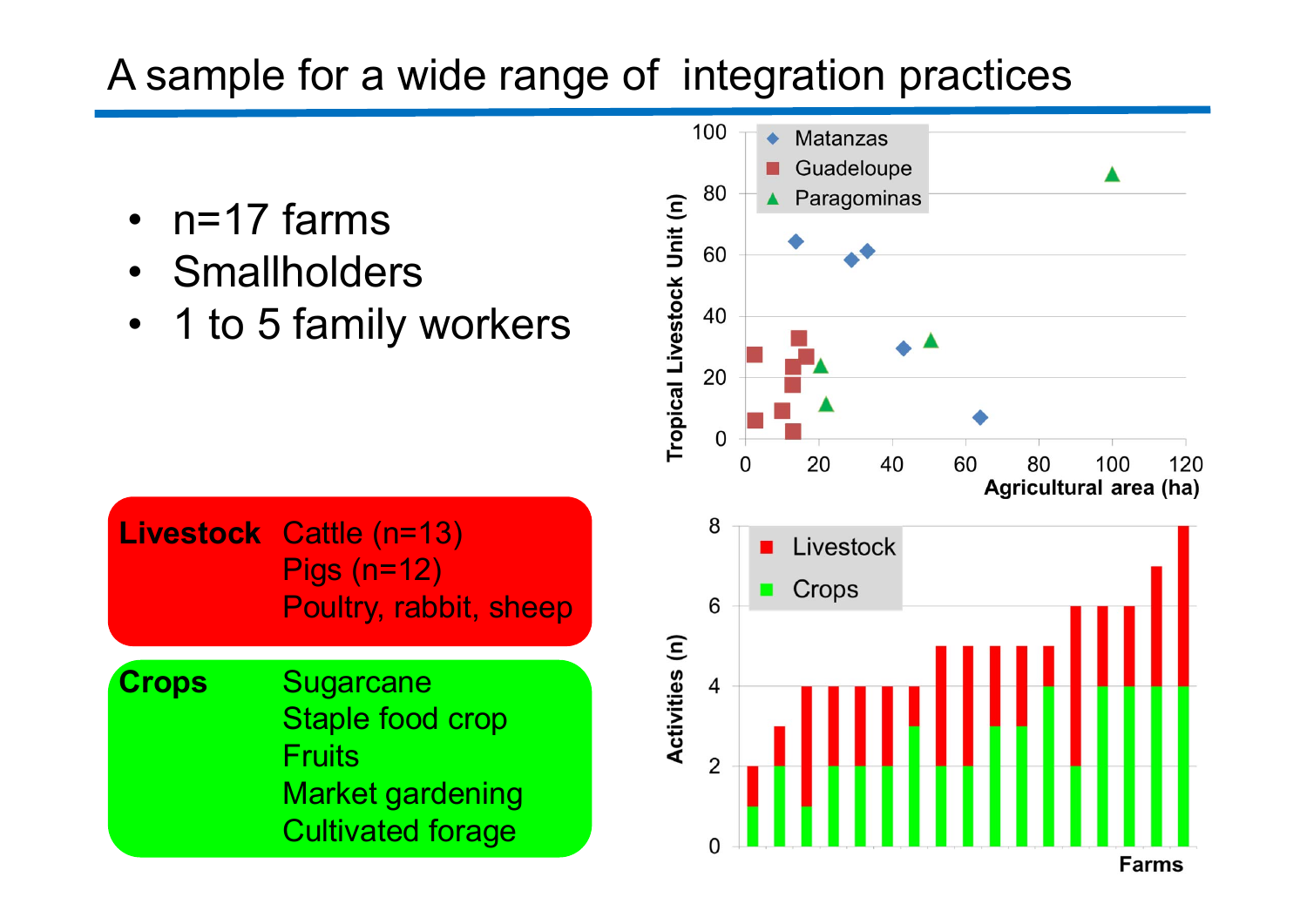#### A sample for a wide range of integration practices

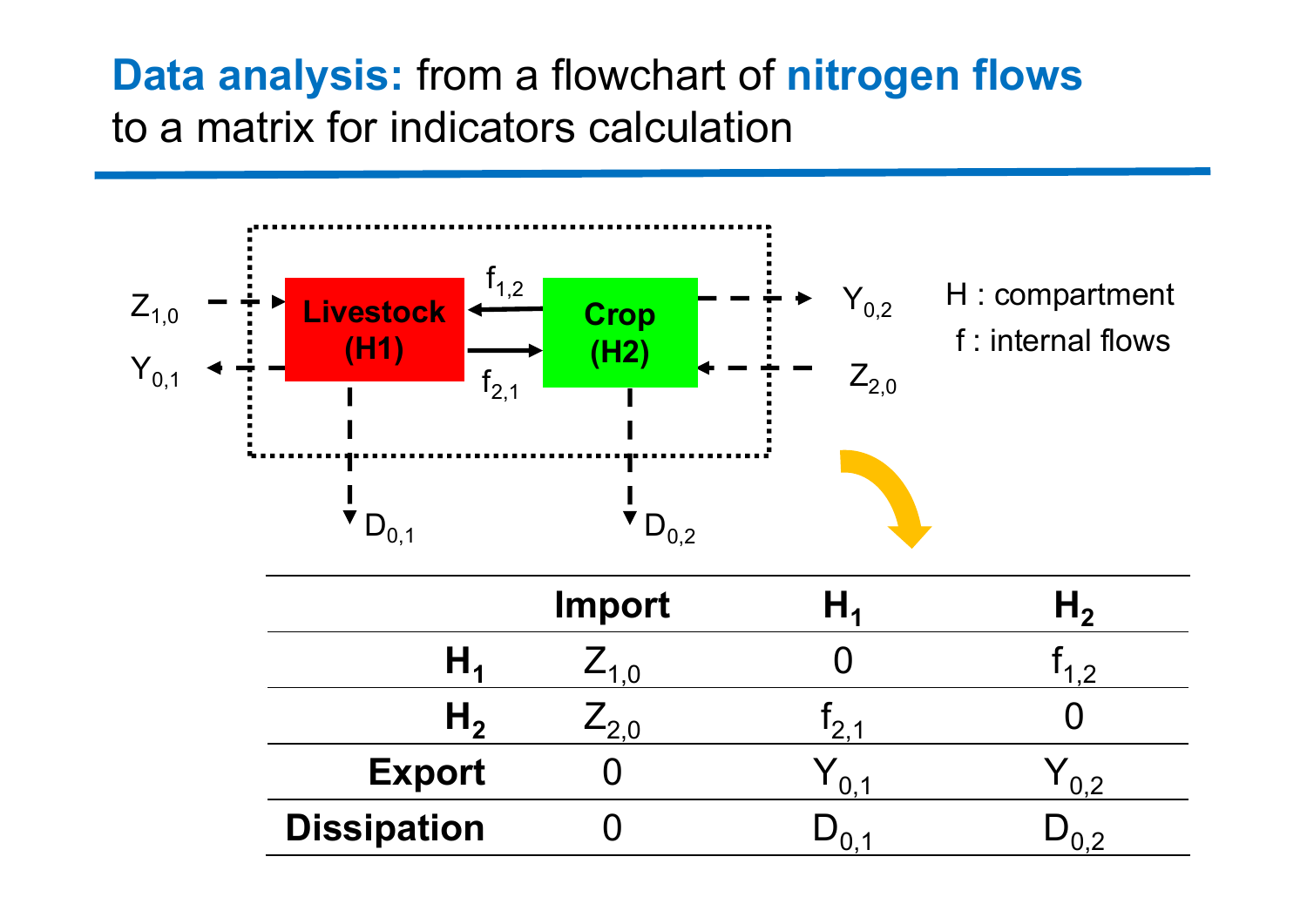#### **Data analysis:** from a flowchart of **nitrogen flows** to a matrix for indicators calculation

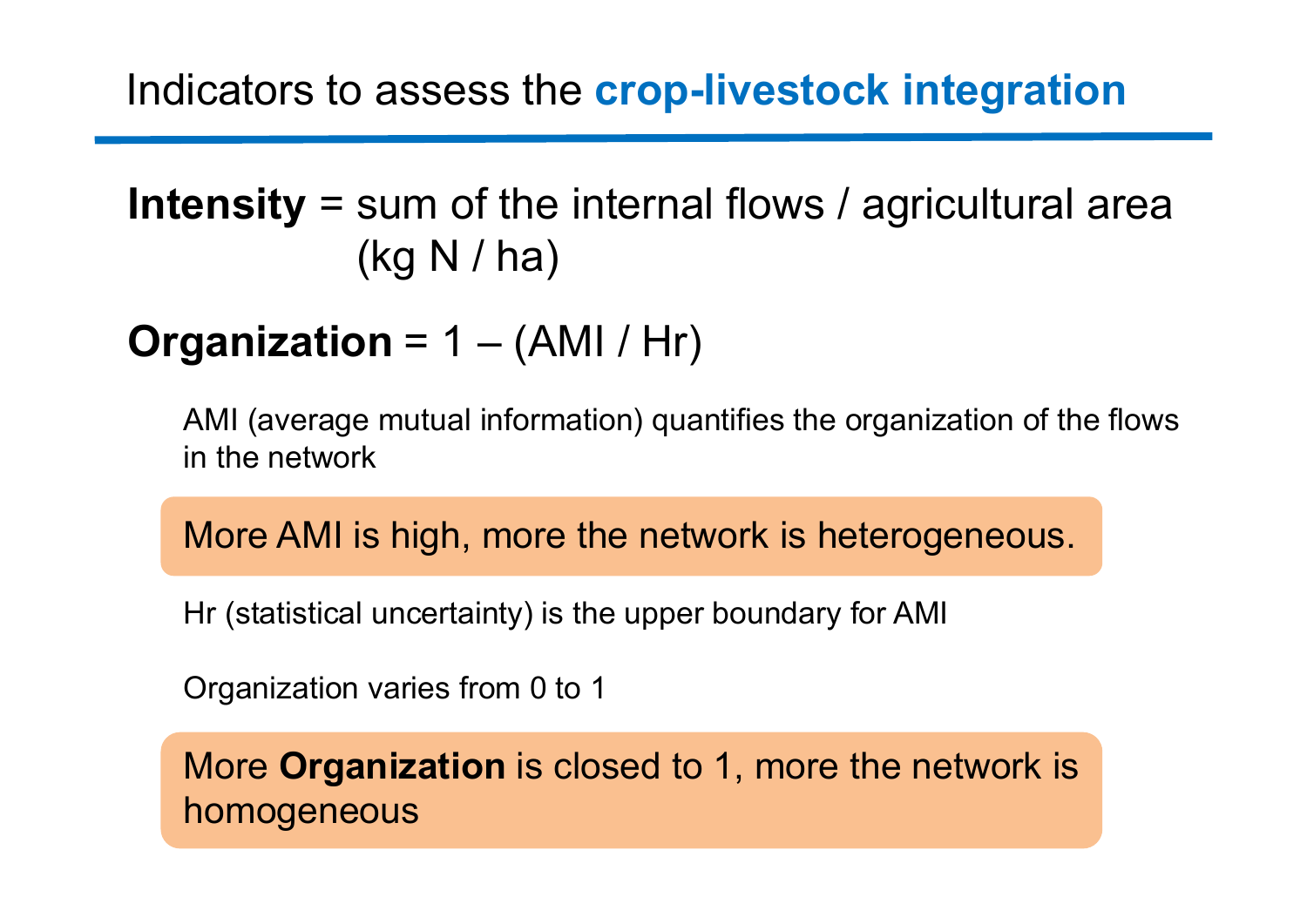## **Intensity** = sum of the internal flows / agricultural area (kg N / ha)

## **Organization** = 1 – (AMI / Hr)

AMI (average mutual information) quantifies the organization of the flows in the network

More AMI is high, more the network is heterogeneous.

Hr (statistical uncertainty) is the upper boundary for AMI

Organization varies from 0 to 1

More **Organization** is closed to 1, more the network is homogeneous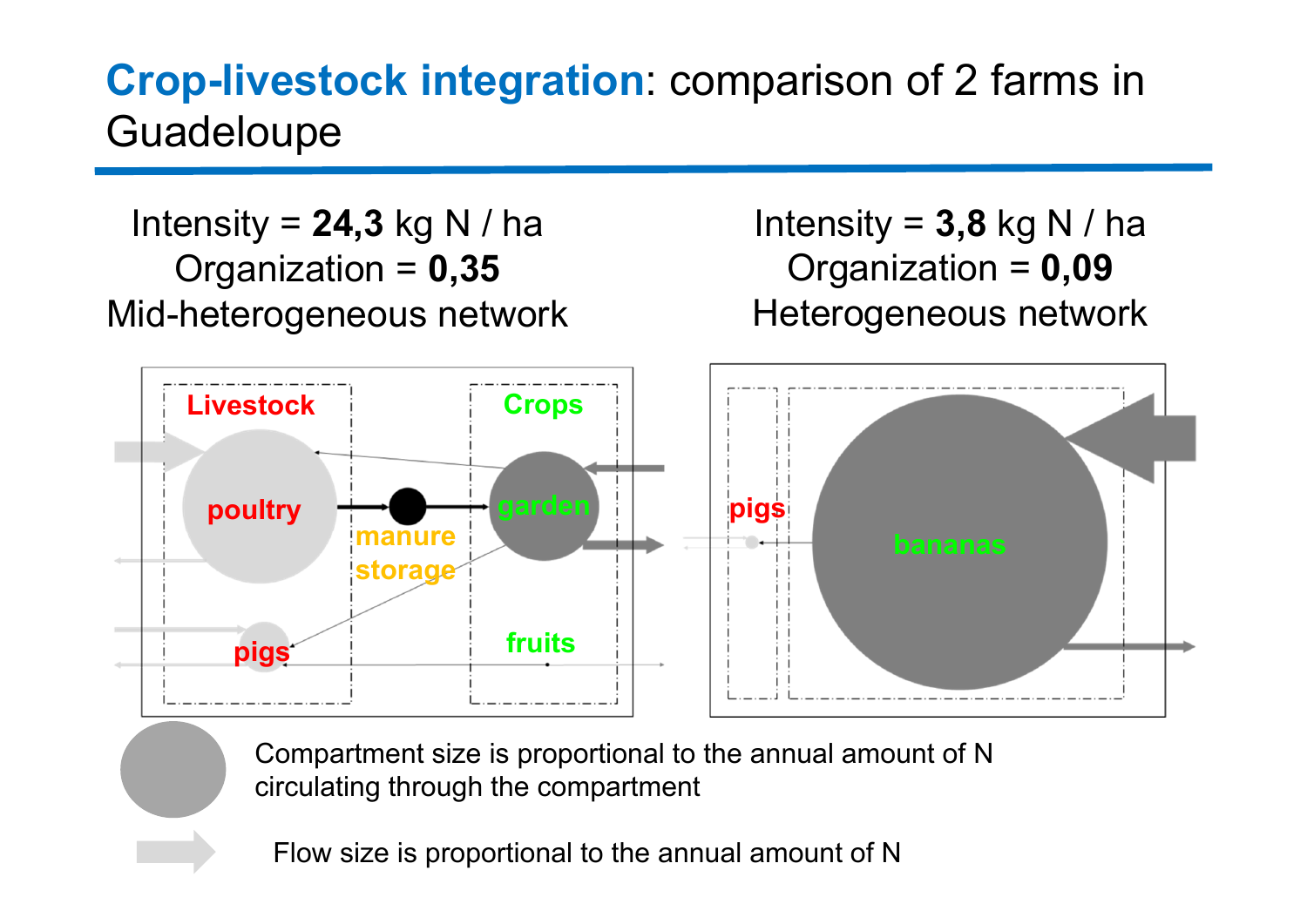#### **Crop-livestock integration**: comparison of 2 farms in Guadeloupe

**poultry pigs fruitsmanurestorage Livestock Crops pigs** Intensity <sup>=</sup>**24,3** kg N / ha Organization <sup>=</sup>**0,35** Mid-heterogeneous network Intensity =  $3,8$  kg N / ha Organization <sup>=</sup>**0,09** Heterogeneous network

> Compartment size is proportional to the annual amount of N circulating through the compartment

Flow size is proportional to the annual amount of N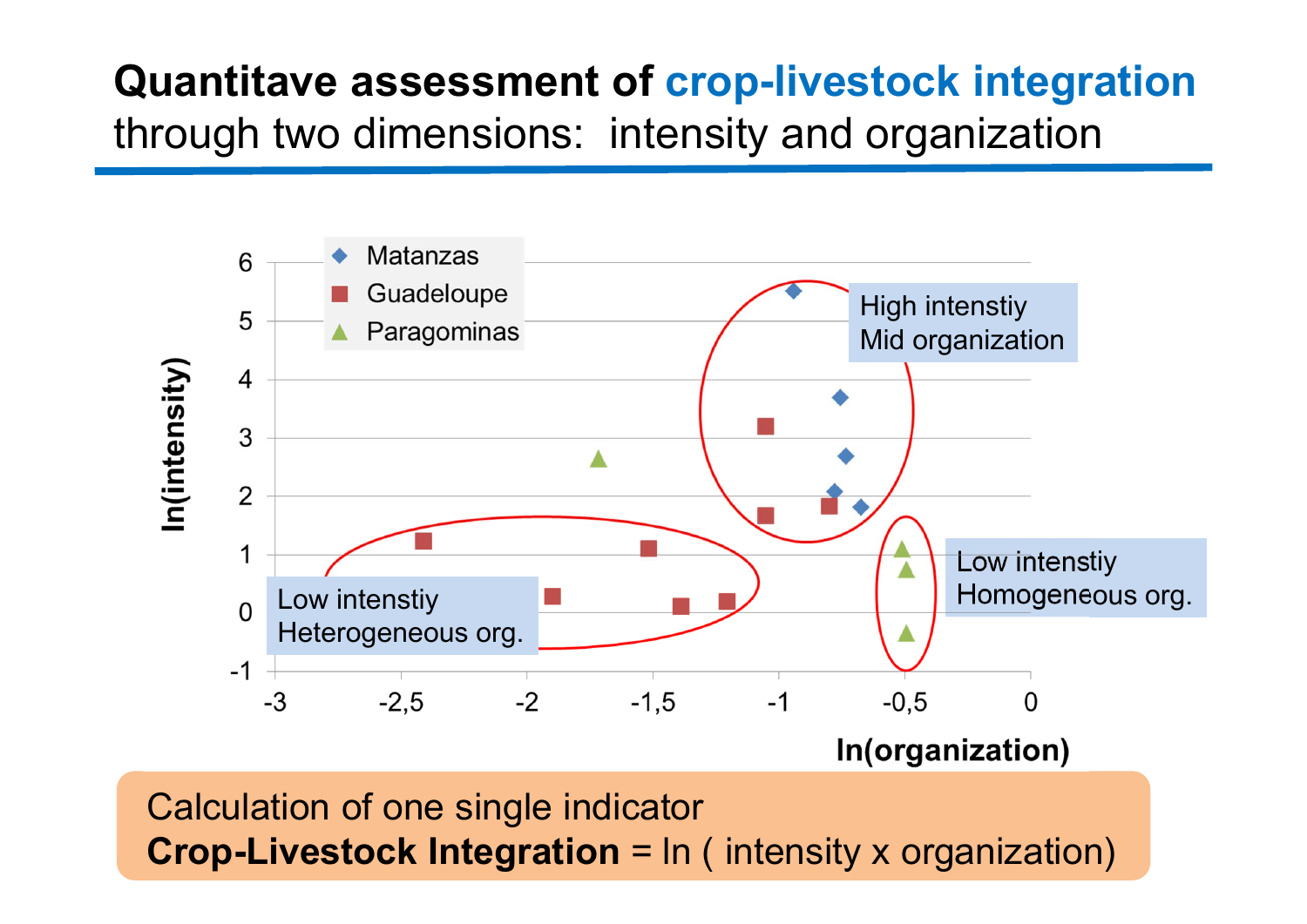## **Quantitave assessment of crop-livestock integration** through two dimensions: intensity and organization



Calculation of one single indicator **Crop-Livestock Integration** = In ( intensity x organization)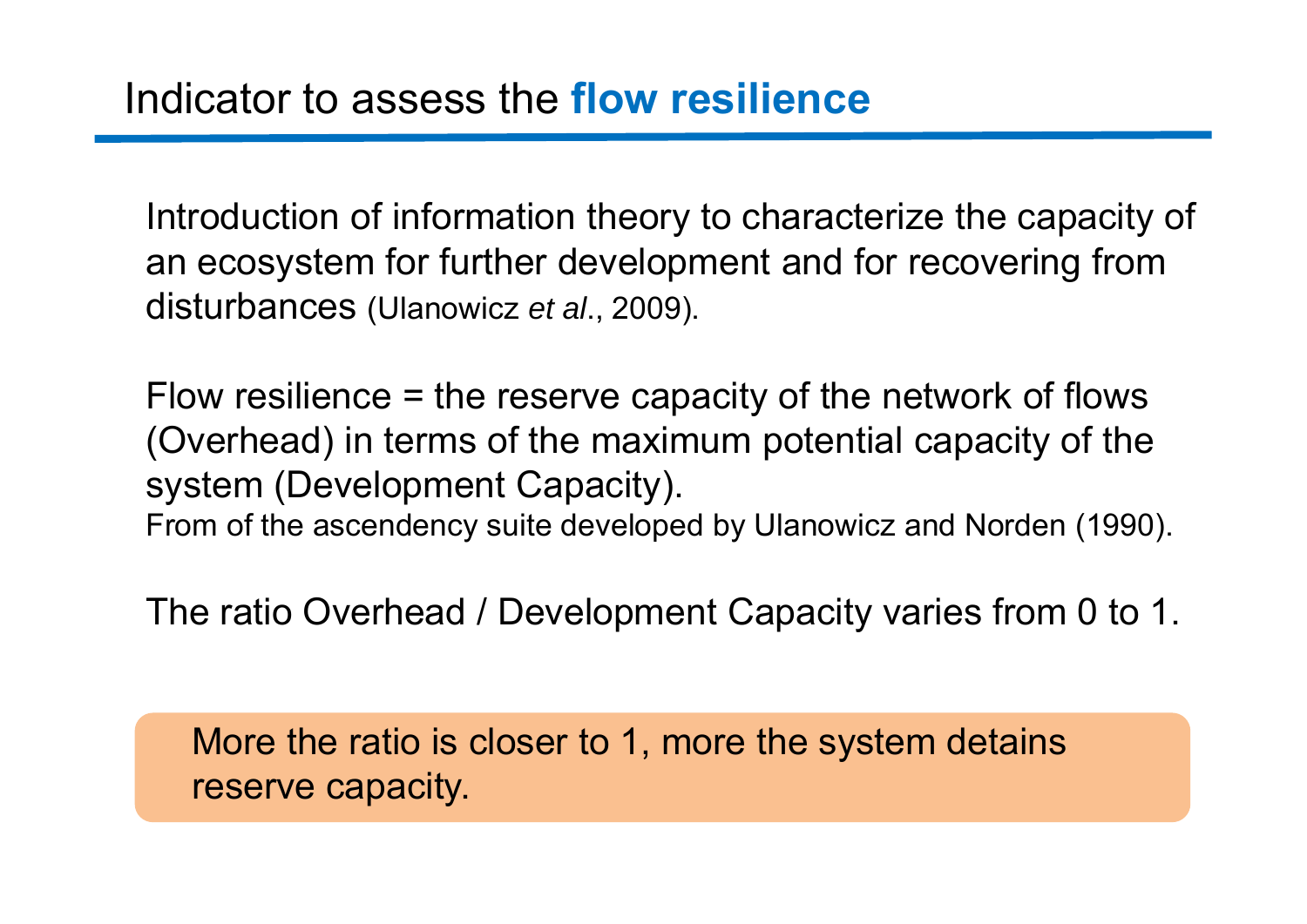Introduction of information theory to characterize the capacity of an ecosystem for further development and for recovering from disturbances (Ulanowicz *et al*., 2009).

Flow resilience = the reserve capacity of the network of flows (Overhead) in terms of the maximum potential capacity of the system (Development Capacity). From of the ascendency suite developed by Ulanowicz and Norden (1990).

The ratio Overhead / Development Capacity varies from 0 to 1.

More the ratio is closer to 1, more the system detains reserve capacity.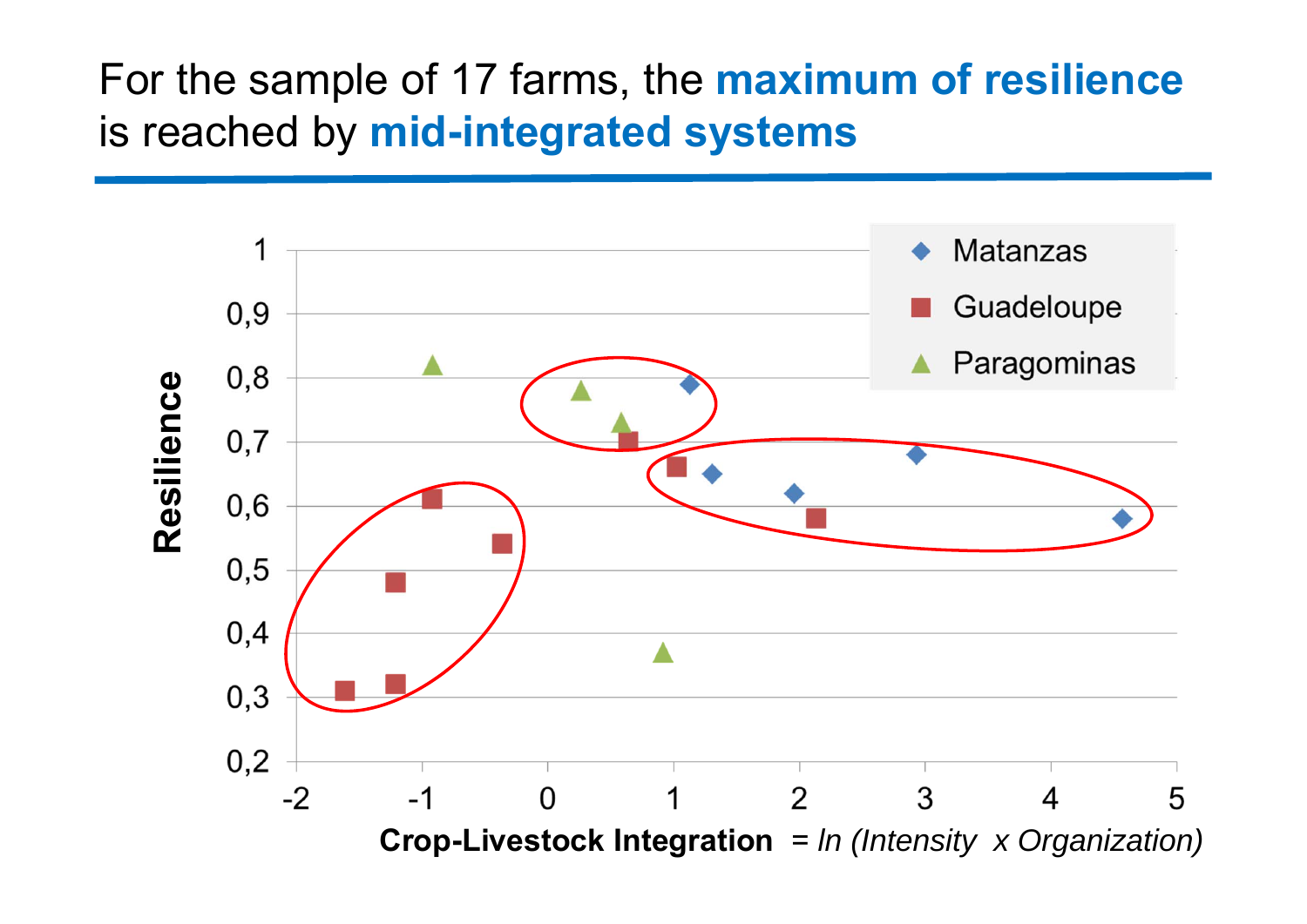### For the sample of 17 farms, the **maximum of resilience** is reached by **mid-integrated systems**

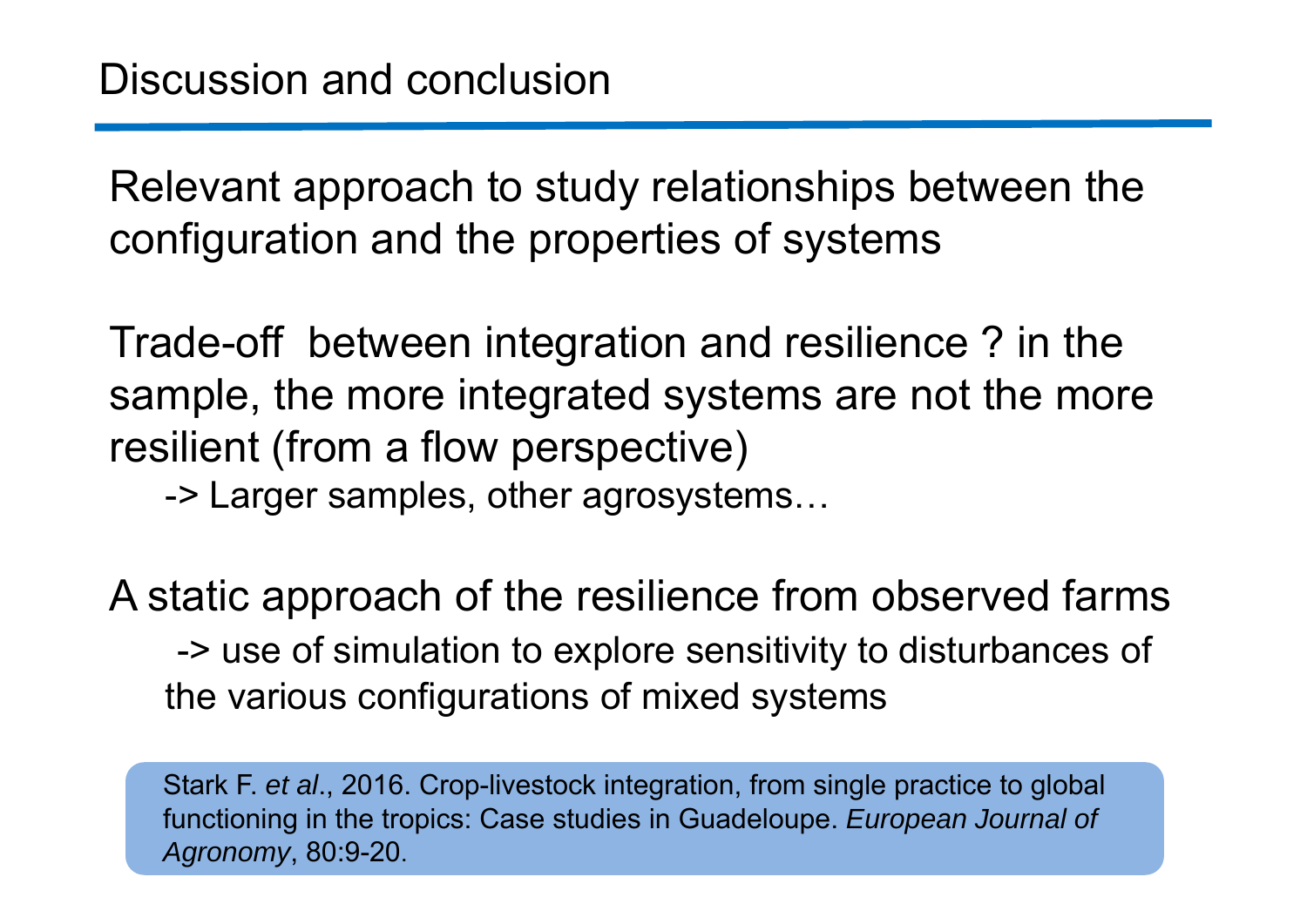Relevant approach to study relationships between the configuration and the properties of systems

Trade-off between integration and resilience ? in the sample, the more integrated systems are not the more resilient (from a flow perspective)

-> Larger samples, other agrosystems…

A static approach of the resilience from observed farms -> use of simulation to explore sensitivity to disturbances of the various configurations of mixed systems

Stark F. *et al*., 2016. Crop-livestock integration, from single practice to global functioning in the tropics: Case studies in Guadeloupe. *European Journal of Agronomy*, 80:9-20.